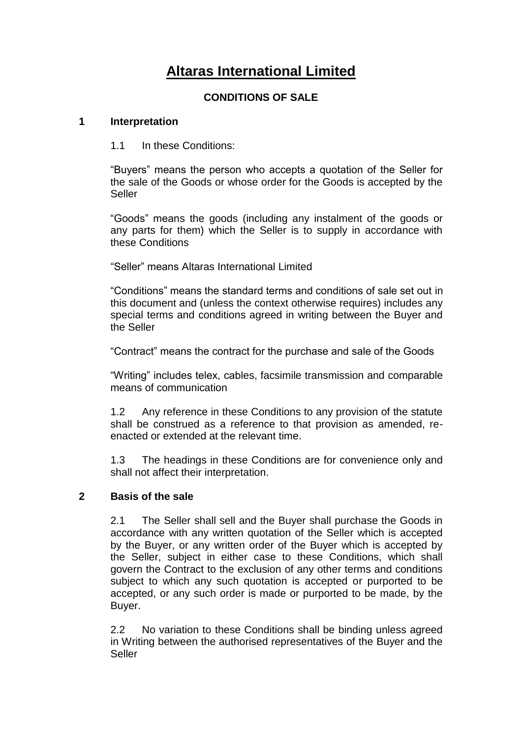# **Altaras International Limited**

# **CONDITIONS OF SALE**

#### **1 Interpretation**

#### 1.1 In these Conditions:

"Buyers" means the person who accepts a quotation of the Seller for the sale of the Goods or whose order for the Goods is accepted by the Seller

"Goods" means the goods (including any instalment of the goods or any parts for them) which the Seller is to supply in accordance with these Conditions

"Seller" means Altaras International Limited

"Conditions" means the standard terms and conditions of sale set out in this document and (unless the context otherwise requires) includes any special terms and conditions agreed in writing between the Buyer and the Seller

"Contract" means the contract for the purchase and sale of the Goods

"Writing" includes telex, cables, facsimile transmission and comparable means of communication

1.2 Any reference in these Conditions to any provision of the statute shall be construed as a reference to that provision as amended, reenacted or extended at the relevant time.

1.3 The headings in these Conditions are for convenience only and shall not affect their interpretation.

## **2 Basis of the sale**

2.1 The Seller shall sell and the Buyer shall purchase the Goods in accordance with any written quotation of the Seller which is accepted by the Buyer, or any written order of the Buyer which is accepted by the Seller, subject in either case to these Conditions, which shall govern the Contract to the exclusion of any other terms and conditions subject to which any such quotation is accepted or purported to be accepted, or any such order is made or purported to be made, by the Buyer.

2.2 No variation to these Conditions shall be binding unless agreed in Writing between the authorised representatives of the Buyer and the Seller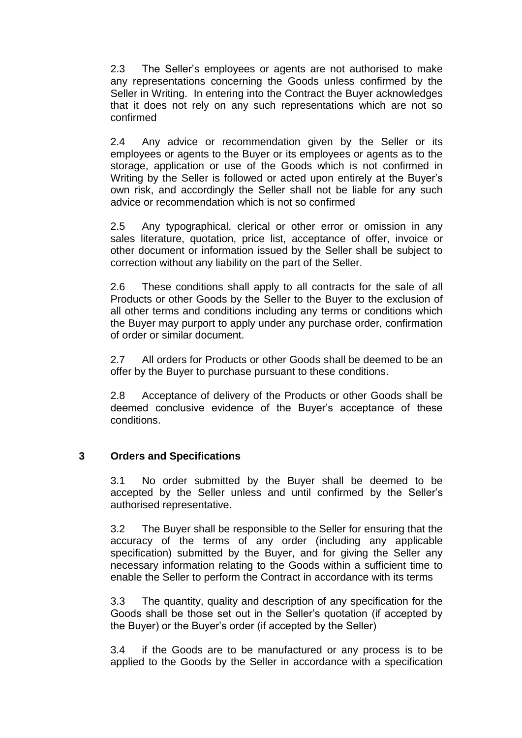2.3 The Seller's employees or agents are not authorised to make any representations concerning the Goods unless confirmed by the Seller in Writing. In entering into the Contract the Buyer acknowledges that it does not rely on any such representations which are not so confirmed

2.4 Any advice or recommendation given by the Seller or its employees or agents to the Buyer or its employees or agents as to the storage, application or use of the Goods which is not confirmed in Writing by the Seller is followed or acted upon entirely at the Buyer's own risk, and accordingly the Seller shall not be liable for any such advice or recommendation which is not so confirmed

2.5 Any typographical, clerical or other error or omission in any sales literature, quotation, price list, acceptance of offer, invoice or other document or information issued by the Seller shall be subject to correction without any liability on the part of the Seller.

2.6 These conditions shall apply to all contracts for the sale of all Products or other Goods by the Seller to the Buyer to the exclusion of all other terms and conditions including any terms or conditions which the Buyer may purport to apply under any purchase order, confirmation of order or similar document.

2.7 All orders for Products or other Goods shall be deemed to be an offer by the Buyer to purchase pursuant to these conditions.

2.8 Acceptance of delivery of the Products or other Goods shall be deemed conclusive evidence of the Buyer's acceptance of these conditions.

## **3 Orders and Specifications**

3.1 No order submitted by the Buyer shall be deemed to be accepted by the Seller unless and until confirmed by the Seller's authorised representative.

3.2 The Buyer shall be responsible to the Seller for ensuring that the accuracy of the terms of any order (including any applicable specification) submitted by the Buyer, and for giving the Seller any necessary information relating to the Goods within a sufficient time to enable the Seller to perform the Contract in accordance with its terms

3.3 The quantity, quality and description of any specification for the Goods shall be those set out in the Seller's quotation (if accepted by the Buyer) or the Buyer's order (if accepted by the Seller)

3.4 if the Goods are to be manufactured or any process is to be applied to the Goods by the Seller in accordance with a specification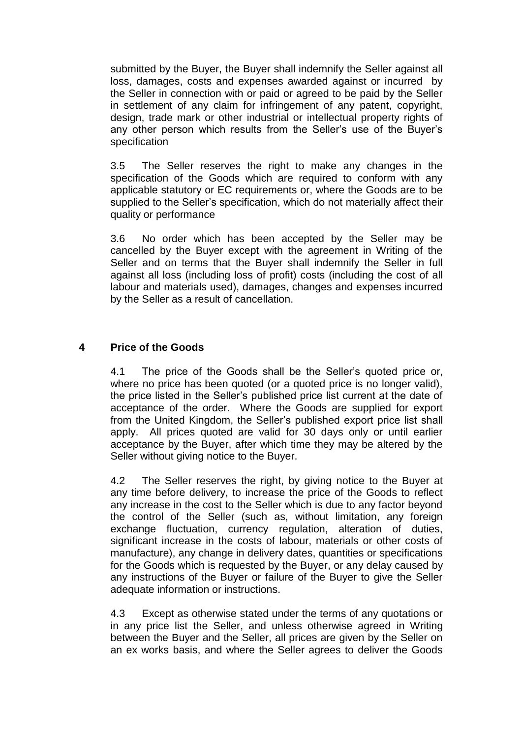submitted by the Buyer, the Buyer shall indemnify the Seller against all loss, damages, costs and expenses awarded against or incurred by the Seller in connection with or paid or agreed to be paid by the Seller in settlement of any claim for infringement of any patent, copyright, design, trade mark or other industrial or intellectual property rights of any other person which results from the Seller's use of the Buyer's specification

3.5 The Seller reserves the right to make any changes in the specification of the Goods which are required to conform with any applicable statutory or EC requirements or, where the Goods are to be supplied to the Seller's specification, which do not materially affect their quality or performance

3.6 No order which has been accepted by the Seller may be cancelled by the Buyer except with the agreement in Writing of the Seller and on terms that the Buyer shall indemnify the Seller in full against all loss (including loss of profit) costs (including the cost of all labour and materials used), damages, changes and expenses incurred by the Seller as a result of cancellation.

## **4 Price of the Goods**

4.1 The price of the Goods shall be the Seller's quoted price or, where no price has been quoted (or a quoted price is no longer valid), the price listed in the Seller's published price list current at the date of acceptance of the order. Where the Goods are supplied for export from the United Kingdom, the Seller's published export price list shall apply. All prices quoted are valid for 30 days only or until earlier acceptance by the Buyer, after which time they may be altered by the Seller without giving notice to the Buyer.

4.2 The Seller reserves the right, by giving notice to the Buyer at any time before delivery, to increase the price of the Goods to reflect any increase in the cost to the Seller which is due to any factor beyond the control of the Seller (such as, without limitation, any foreign exchange fluctuation, currency regulation, alteration of duties, significant increase in the costs of labour, materials or other costs of manufacture), any change in delivery dates, quantities or specifications for the Goods which is requested by the Buyer, or any delay caused by any instructions of the Buyer or failure of the Buyer to give the Seller adequate information or instructions.

4.3 Except as otherwise stated under the terms of any quotations or in any price list the Seller, and unless otherwise agreed in Writing between the Buyer and the Seller, all prices are given by the Seller on an ex works basis, and where the Seller agrees to deliver the Goods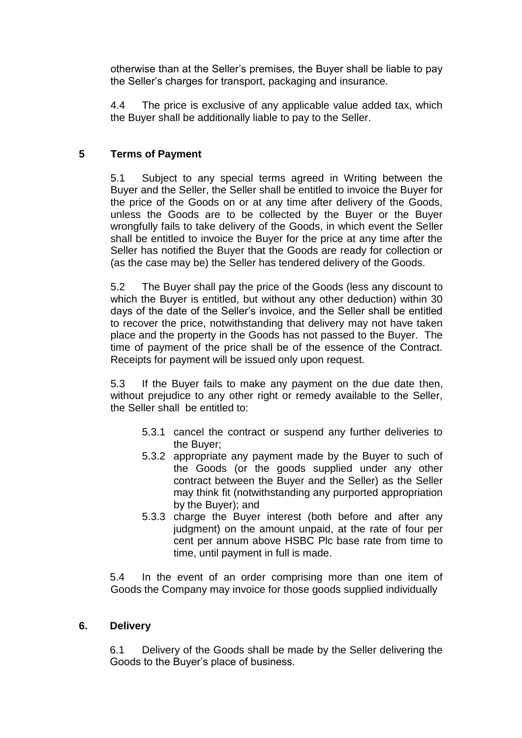otherwise than at the Seller's premises, the Buyer shall be liable to pay the Seller's charges for transport, packaging and insurance.

4.4 The price is exclusive of any applicable value added tax, which the Buyer shall be additionally liable to pay to the Seller.

## **5 Terms of Payment**

5.1 Subject to any special terms agreed in Writing between the Buyer and the Seller, the Seller shall be entitled to invoice the Buyer for the price of the Goods on or at any time after delivery of the Goods, unless the Goods are to be collected by the Buyer or the Buyer wrongfully fails to take delivery of the Goods, in which event the Seller shall be entitled to invoice the Buyer for the price at any time after the Seller has notified the Buyer that the Goods are ready for collection or (as the case may be) the Seller has tendered delivery of the Goods.

5.2 The Buyer shall pay the price of the Goods (less any discount to which the Buyer is entitled, but without any other deduction) within 30 days of the date of the Seller's invoice, and the Seller shall be entitled to recover the price, notwithstanding that delivery may not have taken place and the property in the Goods has not passed to the Buyer. The time of payment of the price shall be of the essence of the Contract. Receipts for payment will be issued only upon request.

5.3 If the Buyer fails to make any payment on the due date then, without prejudice to any other right or remedy available to the Seller, the Seller shall be entitled to:

- 5.3.1 cancel the contract or suspend any further deliveries to the Buyer;
- 5.3.2 appropriate any payment made by the Buyer to such of the Goods (or the goods supplied under any other contract between the Buyer and the Seller) as the Seller may think fit (notwithstanding any purported appropriation by the Buyer); and
- 5.3.3 charge the Buyer interest (both before and after any judgment) on the amount unpaid, at the rate of four per cent per annum above HSBC Plc base rate from time to time, until payment in full is made.

5.4 In the event of an order comprising more than one item of Goods the Company may invoice for those goods supplied individually

## **6. Delivery**

6.1 Delivery of the Goods shall be made by the Seller delivering the Goods to the Buyer's place of business.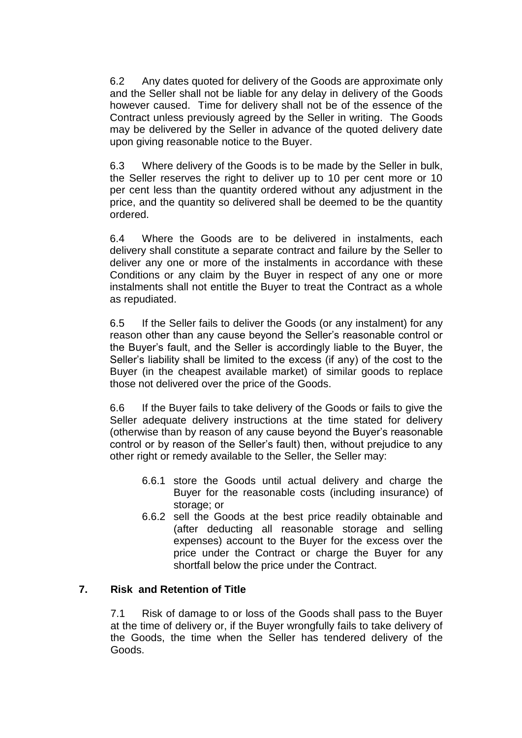6.2 Any dates quoted for delivery of the Goods are approximate only and the Seller shall not be liable for any delay in delivery of the Goods however caused. Time for delivery shall not be of the essence of the Contract unless previously agreed by the Seller in writing. The Goods may be delivered by the Seller in advance of the quoted delivery date upon giving reasonable notice to the Buyer.

6.3 Where delivery of the Goods is to be made by the Seller in bulk, the Seller reserves the right to deliver up to 10 per cent more or 10 per cent less than the quantity ordered without any adjustment in the price, and the quantity so delivered shall be deemed to be the quantity ordered.

6.4 Where the Goods are to be delivered in instalments, each delivery shall constitute a separate contract and failure by the Seller to deliver any one or more of the instalments in accordance with these Conditions or any claim by the Buyer in respect of any one or more instalments shall not entitle the Buyer to treat the Contract as a whole as repudiated.

6.5 If the Seller fails to deliver the Goods (or any instalment) for any reason other than any cause beyond the Seller's reasonable control or the Buyer's fault, and the Seller is accordingly liable to the Buyer, the Seller's liability shall be limited to the excess (if any) of the cost to the Buyer (in the cheapest available market) of similar goods to replace those not delivered over the price of the Goods.

6.6 If the Buyer fails to take delivery of the Goods or fails to give the Seller adequate delivery instructions at the time stated for delivery (otherwise than by reason of any cause beyond the Buyer's reasonable control or by reason of the Seller's fault) then, without prejudice to any other right or remedy available to the Seller, the Seller may:

- 6.6.1 store the Goods until actual delivery and charge the Buyer for the reasonable costs (including insurance) of storage; or
- 6.6.2 sell the Goods at the best price readily obtainable and (after deducting all reasonable storage and selling expenses) account to the Buyer for the excess over the price under the Contract or charge the Buyer for any shortfall below the price under the Contract.

# **7. Risk and Retention of Title**

7.1 Risk of damage to or loss of the Goods shall pass to the Buyer at the time of delivery or, if the Buyer wrongfully fails to take delivery of the Goods, the time when the Seller has tendered delivery of the Goods.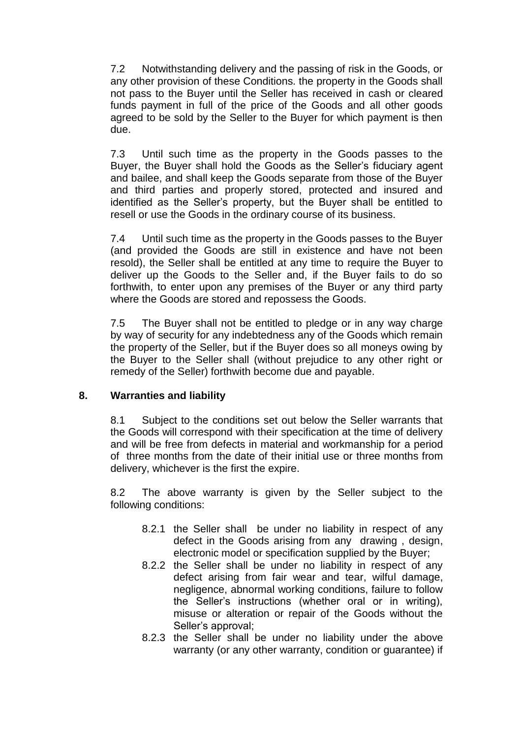7.2 Notwithstanding delivery and the passing of risk in the Goods, or any other provision of these Conditions. the property in the Goods shall not pass to the Buyer until the Seller has received in cash or cleared funds payment in full of the price of the Goods and all other goods agreed to be sold by the Seller to the Buyer for which payment is then due.

7.3 Until such time as the property in the Goods passes to the Buyer, the Buyer shall hold the Goods as the Seller's fiduciary agent and bailee, and shall keep the Goods separate from those of the Buyer and third parties and properly stored, protected and insured and identified as the Seller's property, but the Buyer shall be entitled to resell or use the Goods in the ordinary course of its business.

7.4 Until such time as the property in the Goods passes to the Buyer (and provided the Goods are still in existence and have not been resold), the Seller shall be entitled at any time to require the Buyer to deliver up the Goods to the Seller and, if the Buyer fails to do so forthwith, to enter upon any premises of the Buyer or any third party where the Goods are stored and repossess the Goods.

7.5 The Buyer shall not be entitled to pledge or in any way charge by way of security for any indebtedness any of the Goods which remain the property of the Seller, but if the Buyer does so all moneys owing by the Buyer to the Seller shall (without prejudice to any other right or remedy of the Seller) forthwith become due and payable.

# **8. Warranties and liability**

8.1 Subject to the conditions set out below the Seller warrants that the Goods will correspond with their specification at the time of delivery and will be free from defects in material and workmanship for a period of three months from the date of their initial use or three months from delivery, whichever is the first the expire.

8.2 The above warranty is given by the Seller subject to the following conditions:

- 8.2.1 the Seller shall be under no liability in respect of any defect in the Goods arising from any drawing , design, electronic model or specification supplied by the Buyer;
- 8.2.2 the Seller shall be under no liability in respect of any defect arising from fair wear and tear, wilful damage, negligence, abnormal working conditions, failure to follow the Seller's instructions (whether oral or in writing), misuse or alteration or repair of the Goods without the Seller's approval;
- 8.2.3 the Seller shall be under no liability under the above warranty (or any other warranty, condition or guarantee) if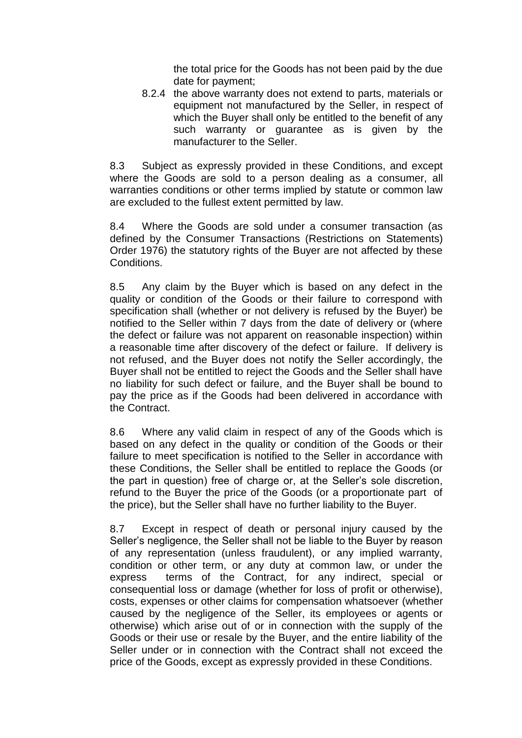the total price for the Goods has not been paid by the due date for payment;

8.2.4 the above warranty does not extend to parts, materials or equipment not manufactured by the Seller, in respect of which the Buyer shall only be entitled to the benefit of any such warranty or quarantee as is given by the manufacturer to the Seller.

8.3 Subject as expressly provided in these Conditions, and except where the Goods are sold to a person dealing as a consumer, all warranties conditions or other terms implied by statute or common law are excluded to the fullest extent permitted by law.

8.4 Where the Goods are sold under a consumer transaction (as defined by the Consumer Transactions (Restrictions on Statements) Order 1976) the statutory rights of the Buyer are not affected by these Conditions.

8.5 Any claim by the Buyer which is based on any defect in the quality or condition of the Goods or their failure to correspond with specification shall (whether or not delivery is refused by the Buyer) be notified to the Seller within 7 days from the date of delivery or (where the defect or failure was not apparent on reasonable inspection) within a reasonable time after discovery of the defect or failure. If delivery is not refused, and the Buyer does not notify the Seller accordingly, the Buyer shall not be entitled to reject the Goods and the Seller shall have no liability for such defect or failure, and the Buyer shall be bound to pay the price as if the Goods had been delivered in accordance with the Contract.

8.6 Where any valid claim in respect of any of the Goods which is based on any defect in the quality or condition of the Goods or their failure to meet specification is notified to the Seller in accordance with these Conditions, the Seller shall be entitled to replace the Goods (or the part in question) free of charge or, at the Seller's sole discretion, refund to the Buyer the price of the Goods (or a proportionate part of the price), but the Seller shall have no further liability to the Buyer.

8.7 Except in respect of death or personal injury caused by the Seller's negligence, the Seller shall not be liable to the Buyer by reason of any representation (unless fraudulent), or any implied warranty, condition or other term, or any duty at common law, or under the express terms of the Contract, for any indirect, special or consequential loss or damage (whether for loss of profit or otherwise), costs, expenses or other claims for compensation whatsoever (whether caused by the negligence of the Seller, its employees or agents or otherwise) which arise out of or in connection with the supply of the Goods or their use or resale by the Buyer, and the entire liability of the Seller under or in connection with the Contract shall not exceed the price of the Goods, except as expressly provided in these Conditions.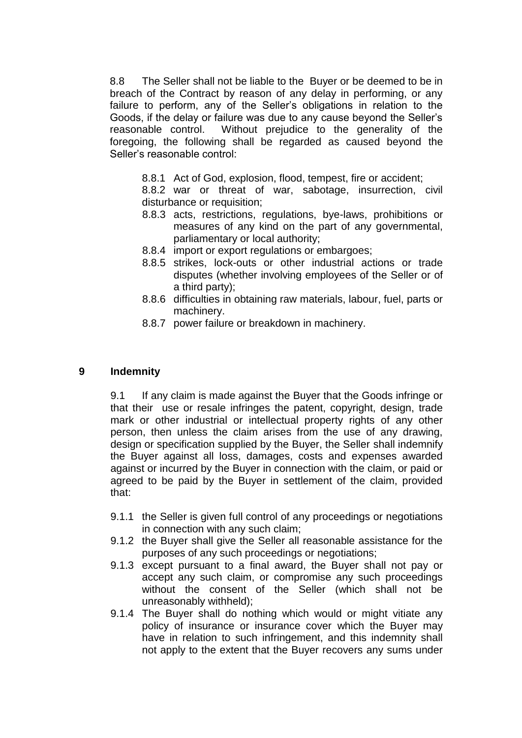8.8 The Seller shall not be liable to the Buyer or be deemed to be in breach of the Contract by reason of any delay in performing, or any failure to perform, any of the Seller's obligations in relation to the Goods, if the delay or failure was due to any cause beyond the Seller's reasonable control. Without prejudice to the generality of the foregoing, the following shall be regarded as caused beyond the Seller's reasonable control:

8.8.1 Act of God, explosion, flood, tempest, fire or accident;

8.8.2 war or threat of war, sabotage, insurrection, civil disturbance or requisition:

- 8.8.3 acts, restrictions, regulations, bye-laws, prohibitions or measures of any kind on the part of any governmental, parliamentary or local authority;
- 8.8.4 import or export regulations or embargoes;
- 8.8.5 strikes, lock-outs or other industrial actions or trade disputes (whether involving employees of the Seller or of a third party);
- 8.8.6 difficulties in obtaining raw materials, labour, fuel, parts or machinery.
- 8.8.7 power failure or breakdown in machinery.

## **9 Indemnity**

9.1 If any claim is made against the Buyer that the Goods infringe or that their use or resale infringes the patent, copyright, design, trade mark or other industrial or intellectual property rights of any other person, then unless the claim arises from the use of any drawing, design or specification supplied by the Buyer, the Seller shall indemnify the Buyer against all loss, damages, costs and expenses awarded against or incurred by the Buyer in connection with the claim, or paid or agreed to be paid by the Buyer in settlement of the claim, provided that:

- 9.1.1 the Seller is given full control of any proceedings or negotiations in connection with any such claim;
- 9.1.2 the Buyer shall give the Seller all reasonable assistance for the purposes of any such proceedings or negotiations;
- 9.1.3 except pursuant to a final award, the Buyer shall not pay or accept any such claim, or compromise any such proceedings without the consent of the Seller (which shall not be unreasonably withheld);
- 9.1.4 The Buyer shall do nothing which would or might vitiate any policy of insurance or insurance cover which the Buyer may have in relation to such infringement, and this indemnity shall not apply to the extent that the Buyer recovers any sums under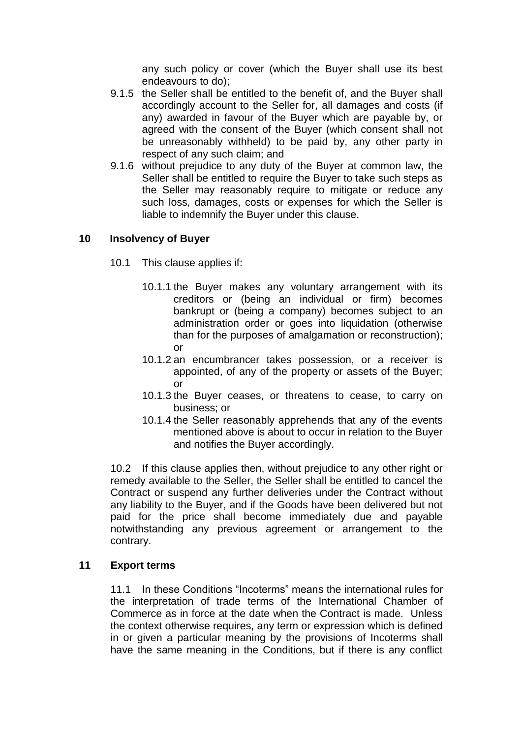any such policy or cover (which the Buyer shall use its best endeavours to do);

- 9.1.5 the Seller shall be entitled to the benefit of, and the Buyer shall accordingly account to the Seller for, all damages and costs (if any) awarded in favour of the Buyer which are payable by, or agreed with the consent of the Buyer (which consent shall not be unreasonably withheld) to be paid by, any other party in respect of any such claim; and
- 9.1.6 without prejudice to any duty of the Buyer at common law, the Seller shall be entitled to require the Buyer to take such steps as the Seller may reasonably require to mitigate or reduce any such loss, damages, costs or expenses for which the Seller is liable to indemnify the Buyer under this clause.

## **10 Insolvency of Buyer**

- 10.1 This clause applies if:
	- 10.1.1 the Buyer makes any voluntary arrangement with its creditors or (being an individual or firm) becomes bankrupt or (being a company) becomes subject to an administration order or goes into liquidation (otherwise than for the purposes of amalgamation or reconstruction); or
	- 10.1.2 an encumbrancer takes possession, or a receiver is appointed, of any of the property or assets of the Buyer; or
	- 10.1.3 the Buyer ceases, or threatens to cease, to carry on business; or
	- 10.1.4 the Seller reasonably apprehends that any of the events mentioned above is about to occur in relation to the Buyer and notifies the Buyer accordingly.

10.2 If this clause applies then, without prejudice to any other right or remedy available to the Seller, the Seller shall be entitled to cancel the Contract or suspend any further deliveries under the Contract without any liability to the Buyer, and if the Goods have been delivered but not paid for the price shall become immediately due and payable notwithstanding any previous agreement or arrangement to the contrary.

## **11 Export terms**

11.1 In these Conditions "Incoterms" means the international rules for the interpretation of trade terms of the International Chamber of Commerce as in force at the date when the Contract is made. Unless the context otherwise requires, any term or expression which is defined in or given a particular meaning by the provisions of Incoterms shall have the same meaning in the Conditions, but if there is any conflict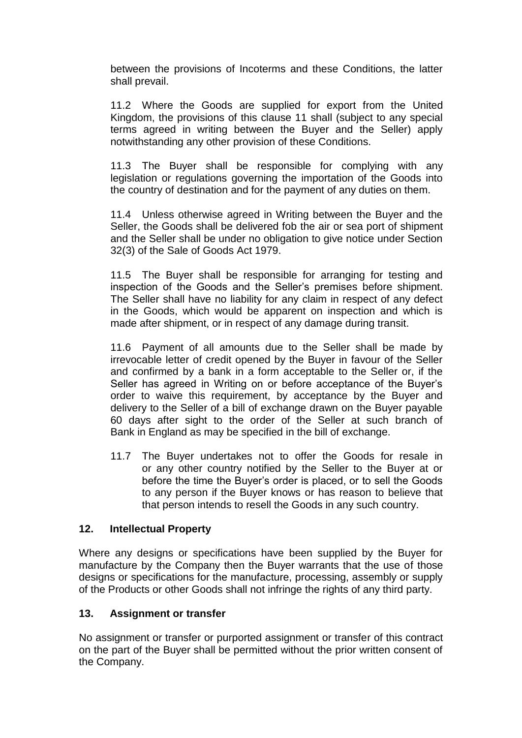between the provisions of Incoterms and these Conditions, the latter shall prevail.

11.2 Where the Goods are supplied for export from the United Kingdom, the provisions of this clause 11 shall (subject to any special terms agreed in writing between the Buyer and the Seller) apply notwithstanding any other provision of these Conditions.

11.3 The Buyer shall be responsible for complying with any legislation or regulations governing the importation of the Goods into the country of destination and for the payment of any duties on them.

11.4 Unless otherwise agreed in Writing between the Buyer and the Seller, the Goods shall be delivered fob the air or sea port of shipment and the Seller shall be under no obligation to give notice under Section 32(3) of the Sale of Goods Act 1979.

11.5 The Buyer shall be responsible for arranging for testing and inspection of the Goods and the Seller's premises before shipment. The Seller shall have no liability for any claim in respect of any defect in the Goods, which would be apparent on inspection and which is made after shipment, or in respect of any damage during transit.

11.6 Payment of all amounts due to the Seller shall be made by irrevocable letter of credit opened by the Buyer in favour of the Seller and confirmed by a bank in a form acceptable to the Seller or, if the Seller has agreed in Writing on or before acceptance of the Buyer's order to waive this requirement, by acceptance by the Buyer and delivery to the Seller of a bill of exchange drawn on the Buyer payable 60 days after sight to the order of the Seller at such branch of Bank in England as may be specified in the bill of exchange.

11.7 The Buyer undertakes not to offer the Goods for resale in or any other country notified by the Seller to the Buyer at or before the time the Buyer's order is placed, or to sell the Goods to any person if the Buyer knows or has reason to believe that that person intends to resell the Goods in any such country.

# **12. Intellectual Property**

Where any designs or specifications have been supplied by the Buyer for manufacture by the Company then the Buyer warrants that the use of those designs or specifications for the manufacture, processing, assembly or supply of the Products or other Goods shall not infringe the rights of any third party.

# **13. Assignment or transfer**

No assignment or transfer or purported assignment or transfer of this contract on the part of the Buyer shall be permitted without the prior written consent of the Company.